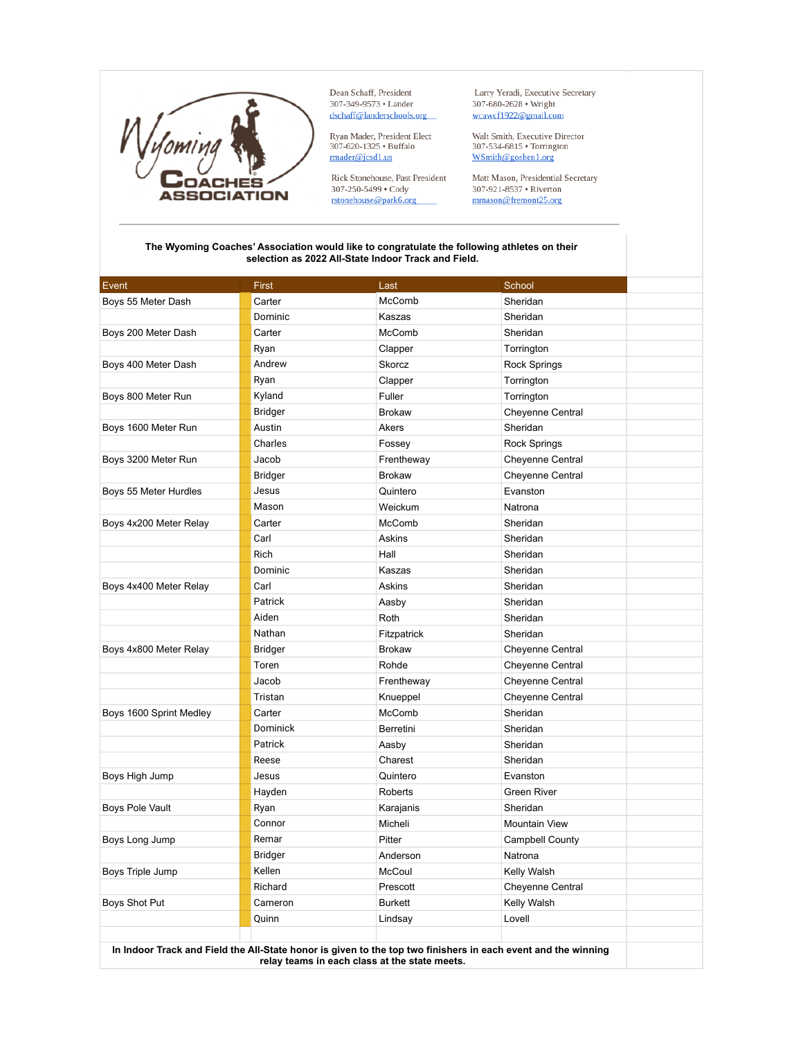

Dean Schaff, President 307-349-9573 • Lander dschaff@landerschools.org

Ryan Mader, President Elect 307-620-1325 · Buffalo  $\frac{1}{\text{r} \cdot \text{r} \cdot \text{r} \cdot \text{r} \cdot \text{r} \cdot \text{r} \cdot \text{r} \cdot \text{r} \cdot \text{r} \cdot \text{r} \cdot \text{r} \cdot \text{r} \cdot \text{r} \cdot \text{r} \cdot \text{r} \cdot \text{r} \cdot \text{r} \cdot \text{r} \cdot \text{r} \cdot \text{r} \cdot \text{r} \cdot \text{r} \cdot \text{r} \cdot \text{r} \cdot \text{r} \cdot \text{r} \cdot \text{r} \cdot \text{r} \cdot \text{r} \cdot \text{r} \cdot \text{r}$ 

Rick Stonehouse, Past President 307-250-5499 • Cody rstonehouse@park6.org

Larry Yeradi, Executive Secretary 307-680-2628 · Wright wcawcf1922@gmail.com

Walt Smith, Executive Director 307-534-6815 · Torrington WSmith@goshen1.org

Matt Mason, Presidential Secretary 307-921-8537 · Riverton mmason@fremont25.org

## **The Wyoming Coaches' Association would like to congratulate the following athletes on their selection as 2022 All-State Indoor Track and Field.**

| Event                                                                                                         | First          | Last           | School                 |
|---------------------------------------------------------------------------------------------------------------|----------------|----------------|------------------------|
| Boys 55 Meter Dash                                                                                            | Carter         | McComb         | Sheridan               |
|                                                                                                               | Dominic        | Kaszas         | Sheridan               |
| Boys 200 Meter Dash                                                                                           | Carter         | McComb         | Sheridan               |
|                                                                                                               | Ryan           | Clapper        | Torrington             |
| Boys 400 Meter Dash                                                                                           | Andrew         | Skorcz         | <b>Rock Springs</b>    |
|                                                                                                               | Ryan           | Clapper        | Torrington             |
| Boys 800 Meter Run                                                                                            | Kyland         | Fuller         | Torrington             |
|                                                                                                               | <b>Bridger</b> | <b>Brokaw</b>  | Cheyenne Central       |
| Boys 1600 Meter Run                                                                                           | Austin         | Akers          | Sheridan               |
|                                                                                                               | Charles        | Fossey         | <b>Rock Springs</b>    |
| Boys 3200 Meter Run                                                                                           | Jacob          | Frentheway     | Cheyenne Central       |
|                                                                                                               | <b>Bridger</b> | <b>Brokaw</b>  | Cheyenne Central       |
| Boys 55 Meter Hurdles                                                                                         | Jesus          | Quintero       | Evanston               |
|                                                                                                               | Mason          | Weickum        | Natrona                |
| Boys 4x200 Meter Relay                                                                                        | Carter         | McComb         | Sheridan               |
|                                                                                                               | Carl           | Askins         | Sheridan               |
|                                                                                                               | <b>Rich</b>    | Hall           | Sheridan               |
|                                                                                                               | Dominic        | Kaszas         | Sheridan               |
| Boys 4x400 Meter Relay                                                                                        | Carl           | Askins         | Sheridan               |
|                                                                                                               | Patrick        | Aasby          | Sheridan               |
|                                                                                                               | Aiden          | Roth           | Sheridan               |
|                                                                                                               | Nathan         | Fitzpatrick    | Sheridan               |
| Boys 4x800 Meter Relay                                                                                        | <b>Bridger</b> | <b>Brokaw</b>  | Cheyenne Central       |
|                                                                                                               | Toren          | Rohde          | Cheyenne Central       |
|                                                                                                               | Jacob          | Frentheway     | Cheyenne Central       |
|                                                                                                               | Tristan        | Knueppel       | Cheyenne Central       |
| Boys 1600 Sprint Medley                                                                                       | Carter         | McComb         | Sheridan               |
|                                                                                                               | Dominick       | Berretini      | Sheridan               |
|                                                                                                               | Patrick        | Aasby          | Sheridan               |
|                                                                                                               | Reese          | Charest        | Sheridan               |
| Boys High Jump                                                                                                | Jesus          | Quintero       | Evanston               |
|                                                                                                               | Hayden         | Roberts        | <b>Green River</b>     |
| <b>Boys Pole Vault</b>                                                                                        | Ryan           | Karajanis      | Sheridan               |
|                                                                                                               | Connor         | Micheli        | Mountain View          |
| Boys Long Jump                                                                                                | Remar          | Pitter         | <b>Campbell County</b> |
|                                                                                                               | <b>Bridger</b> | Anderson       | Natrona                |
| Boys Triple Jump                                                                                              | Kellen         | McCoul         | Kelly Walsh            |
|                                                                                                               | Richard        | Prescott       | Cheyenne Central       |
| Boys Shot Put                                                                                                 | Cameron        | <b>Burkett</b> | Kelly Walsh            |
|                                                                                                               | Quinn          | Lindsay        | Lovell                 |
|                                                                                                               |                |                |                        |
| In Indoor Track and Field the All-State honor is given to the top two finishers in each event and the winning |                |                |                        |

**relay teams in each class at the state meets.**